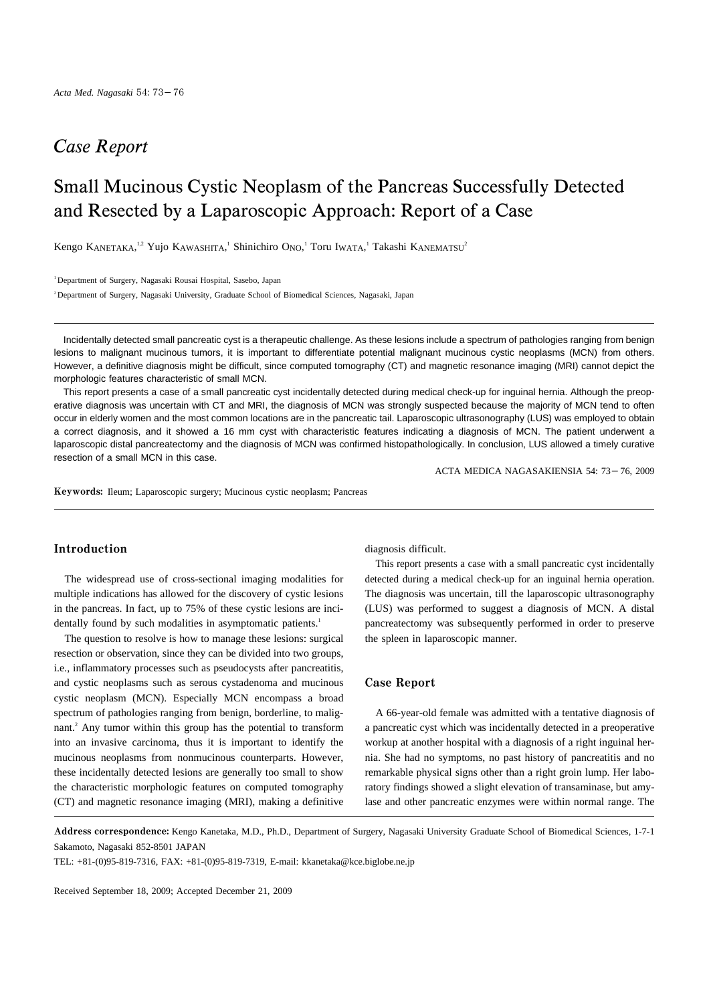## Case Report

# Small Mucinous Cystic Neoplasm of the Pancreas Successfully Detected and Resected by a Laparoscopic Approach: Report of a Case

Kengo KANETAKA,<sup>1,2</sup> Yujo KAWASHITA,<sup>1</sup> Shinichiro Ono,<sup>1</sup> Toru Iwata,<sup>1</sup> Takashi KANEMATSU<sup>2</sup>

<sup>1</sup> Department of Surgery, Nagasaki Rousai Hospital, Sasebo, Japan

<sup>2</sup> Department of Surgery, Nagasaki University, Graduate School of Biomedical Sciences, Nagasaki, Japan

Incidentally detected small pancreatic cyst is a therapeutic challenge. As these lesions include a spectrum of pathologies ranging from benign lesions to malignant mucinous tumors, it is important to differentiate potential malignant mucinous cystic neoplasms (MCN) from others. However, a definitive diagnosis might be difficult, since computed tomography (CT) and magnetic resonance imaging (MRI) cannot depict the morphologic features characteristic of small MCN.

This report presents a case of a small pancreatic cyst incidentally detected during medical check-up for inguinal hernia. Although the preoperative diagnosis was uncertain with CT and MRI, the diagnosis of MCN was strongly suspected because the majority of MCN tend to often occur in elderly women and the most common locations are in the pancreatic tail. Laparoscopic ultrasonography (LUS) was employed to obtain a correct diagnosis, and it showed a 16 mm cyst with characteristic features indicating a diagnosis of MCN. The patient underwent a laparoscopic distal pancreatectomy and the diagnosis of MCN was confirmed histopathologically. In conclusion, LUS allowed a timely curative resection of a small MCN in this case.

ACTA MEDICA NAGASAKIENSIA 54: 73 76, 2009

Keywords: Ileum; Laparoscopic surgery; Mucinous cystic neoplasm; Pancreas

### Introduction

The widespread use of cross-sectional imaging modalities for multiple indications has allowed for the discovery of cystic lesions in the pancreas. In fact, up to 75% of these cystic lesions are incidentally found by such modalities in asymptomatic patients.<sup>1</sup>

The question to resolve is how to manage these lesions: surgical resection or observation, since they can be divided into two groups, i.e., inflammatory processes such as pseudocysts after pancreatitis, and cystic neoplasms such as serous cystadenoma and mucinous cystic neoplasm (MCN). Especially MCN encompass a broad spectrum of pathologies ranging from benign, borderline, to malignant. <sup>2</sup> Any tumor within this group has the potential to transform into an invasive carcinoma, thus it is important to identify the mucinous neoplasms from nonmucinous counterparts. However, these incidentally detected lesions are generally too small to show the characteristic morphologic features on computed tomography (CT) and magnetic resonance imaging (MRI), making a definitive

diagnosis difficult.

This report presents a case with a small pancreatic cyst incidentally detected during a medical check-up for an inguinal hernia operation. The diagnosis was uncertain, till the laparoscopic ultrasonography (LUS) was performed to suggest a diagnosis of MCN. A distal pancreatectomy was subsequently performed in order to preserve the spleen in laparoscopic manner.

#### Case Report

A 66-year-old female was admitted with a tentative diagnosis of a pancreatic cyst which was incidentally detected in a preoperative workup at another hospital with a diagnosis of a right inguinal hernia. She had no symptoms, no past history of pancreatitis and no remarkable physical signs other than a right groin lump. Her laboratory findings showed a slight elevation of transaminase, but amylase and other pancreatic enzymes were within normal range. The

Address correspondence: Kengo Kanetaka, M.D., Ph.D., Department of Surgery, Nagasaki University Graduate School of Biomedical Sciences, 1-7-1 Sakamoto, Nagasaki 852-8501 JAPAN

TEL: +81-(0)95-819-7316, FAX: +81-(0)95-819-7319, E-mail: kkanetaka@kce.biglobe.ne.jp

Received September 18, 2009; Accepted December 21, 2009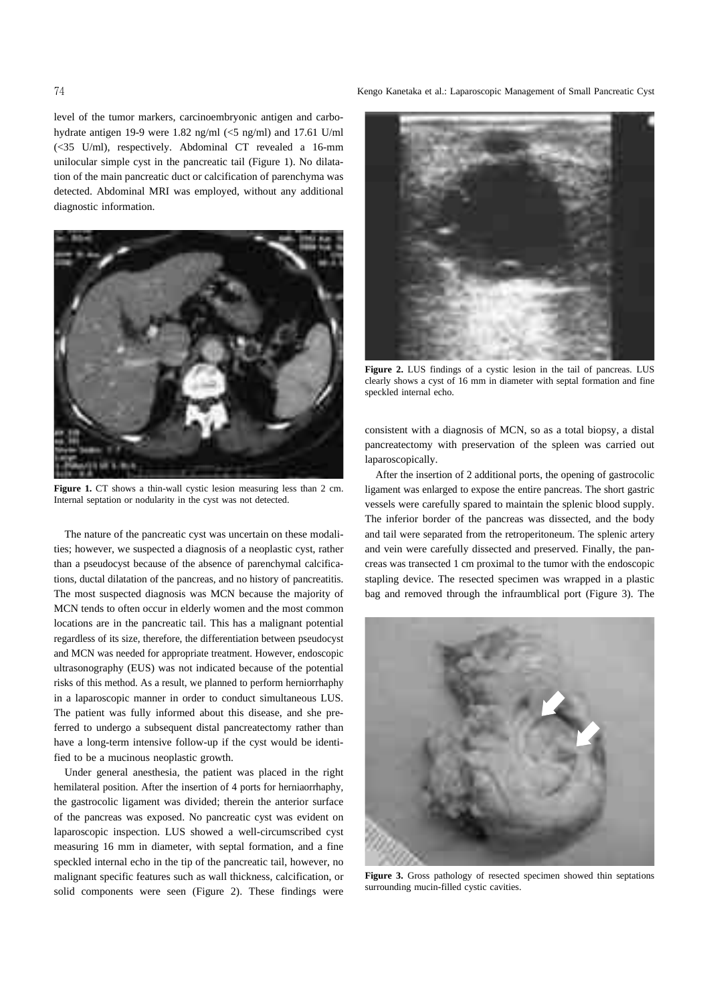level of the tumor markers, carcinoembryonic antigen and carbohydrate antigen 19-9 were 1.82 ng/ml (<5 ng/ml) and 17.61 U/ml (<35 U/ml), respectively. Abdominal CT revealed a 16-mm unilocular simple cyst in the pancreatic tail (Figure 1). No dilatation of the main pancreatic duct or calcification of parenchyma was detected. Abdominal MRI was employed, without any additional diagnostic information.



**Figure 1.** CT shows a thin-wall cystic lesion measuring less than 2 cm. Internal septation or nodularity in the cyst was not detected.

The nature of the pancreatic cyst was uncertain on these modalities; however, we suspected a diagnosis of a neoplastic cyst, rather than a pseudocyst because of the absence of parenchymal calcifications, ductal dilatation of the pancreas, and no history of pancreatitis. The most suspected diagnosis was MCN because the majority of MCN tends to often occur in elderly women and the most common locations are in the pancreatic tail. This has a malignant potential regardless of its size, therefore, the differentiation between pseudocyst and MCN was needed for appropriate treatment. However, endoscopic ultrasonography (EUS) was not indicated because of the potential risks of this method. As a result, we planned to perform herniorrhaphy in a laparoscopic manner in order to conduct simultaneous LUS. The patient was fully informed about this disease, and she preferred to undergo a subsequent distal pancreatectomy rather than have a long-term intensive follow-up if the cyst would be identified to be a mucinous neoplastic growth.

Under general anesthesia, the patient was placed in the right hemilateral position. After the insertion of 4 ports for herniaorrhaphy, the gastrocolic ligament was divided; therein the anterior surface of the pancreas was exposed. No pancreatic cyst was evident on laparoscopic inspection. LUS showed a well-circumscribed cyst measuring 16 mm in diameter, with septal formation, and a fine speckled internal echo in the tip of the pancreatic tail, however, no malignant specific features such as wall thickness, calcification, or solid components were seen (Figure 2). These findings were Kengo Kanetaka et al.: Laparoscopic Management of Small Pancreatic Cyst



**Figure 2.** LUS findings of a cystic lesion in the tail of pancreas. LUS clearly shows a cyst of 16 mm in diameter with septal formation and fine speckled internal echo.

consistent with a diagnosis of MCN, so as a total biopsy, a distal pancreatectomy with preservation of the spleen was carried out laparoscopically.

After the insertion of 2 additional ports, the opening of gastrocolic ligament was enlarged to expose the entire pancreas. The short gastric vessels were carefully spared to maintain the splenic blood supply. The inferior border of the pancreas was dissected, and the body and tail were separated from the retroperitoneum. The splenic artery and vein were carefully dissected and preserved. Finally, the pancreas was transected 1 cm proximal to the tumor with the endoscopic stapling device. The resected specimen was wrapped in a plastic bag and removed through the infraumblical port (Figure 3). The



**Figure 3.** Gross pathology of resected specimen showed thin septations surrounding mucin-filled cystic cavities.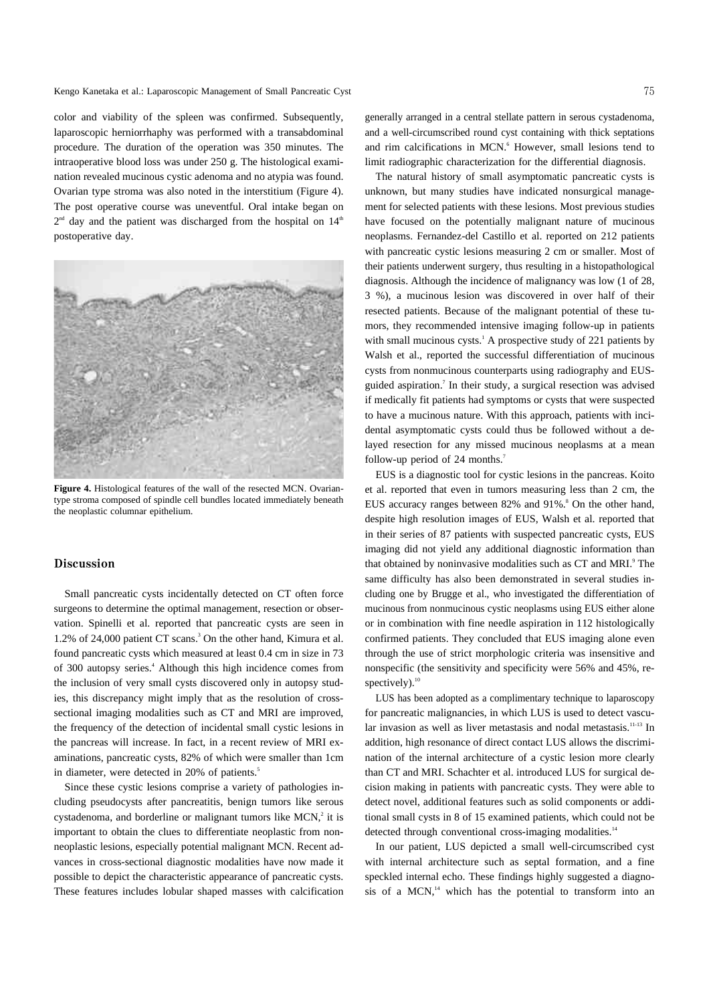Kengo Kanetaka et al.: Laparoscopic Management of Small Pancreatic Cyst

color and viability of the spleen was confirmed. Subsequently, laparoscopic herniorrhaphy was performed with a transabdominal procedure. The duration of the operation was 350 minutes. The intraoperative blood loss was under 250 g. The histological examination revealed mucinous cystic adenoma and no atypia was found. Ovarian type stroma was also noted in the interstitium (Figure 4). The post operative course was uneventful. Oral intake began on  $2<sup>nd</sup>$  day and the patient was discharged from the hospital on  $14<sup>th</sup>$ postoperative day.



**Figure 4.** Histological features of the wall of the resected MCN. Ovariantype stroma composed of spindle cell bundles located immediately beneath the neoplastic columnar epithelium.

#### **Discussion**

Small pancreatic cysts incidentally detected on CT often force surgeons to determine the optimal management, resection or observation. Spinelli et al. reported that pancreatic cysts are seen in 1.2% of 24,000 patient CT scans. <sup>3</sup> On the other hand, Kimura et al. found pancreatic cysts which measured at least 0.4 cm in size in 73 of 300 autopsy series. <sup>4</sup> Although this high incidence comes from the inclusion of very small cysts discovered only in autopsy studies, this discrepancy might imply that as the resolution of crosssectional imaging modalities such as CT and MRI are improved, the frequency of the detection of incidental small cystic lesions in the pancreas will increase. In fact, in a recent review of MRI examinations, pancreatic cysts, 82% of which were smaller than 1cm in diameter, were detected in 20% of patients.<sup>5</sup>

Since these cystic lesions comprise a variety of pathologies including pseudocysts after pancreatitis, benign tumors like serous cystadenoma, and borderline or malignant tumors like  $MCN<sub>i</sub>$ <sup>2</sup> it is important to obtain the clues to differentiate neoplastic from nonneoplastic lesions, especially potential malignant MCN. Recent advances in cross-sectional diagnostic modalities have now made it possible to depict the characteristic appearance of pancreatic cysts. These features includes lobular shaped masses with calcification

generally arranged in a central stellate pattern in serous cystadenoma, and a well-circumscribed round cyst containing with thick septations and rim calcifications in MCN. <sup>6</sup> However, small lesions tend to limit radiographic characterization for the differential diagnosis.

The natural history of small asymptomatic pancreatic cysts is unknown, but many studies have indicated nonsurgical management for selected patients with these lesions. Most previous studies have focused on the potentially malignant nature of mucinous neoplasms. Fernandez-del Castillo et al. reported on 212 patients with pancreatic cystic lesions measuring 2 cm or smaller. Most of their patients underwent surgery, thus resulting in a histopathological diagnosis. Although the incidence of malignancy was low (1 of 28, 3 %), a mucinous lesion was discovered in over half of their resected patients. Because of the malignant potential of these tumors, they recommended intensive imaging follow-up in patients with small mucinous cysts.<sup>1</sup> A prospective study of 221 patients by Walsh et al., reported the successful differentiation of mucinous cysts from nonmucinous counterparts using radiography and EUSguided aspiration. 7 In their study, a surgical resection was advised if medically fit patients had symptoms or cysts that were suspected to have a mucinous nature. With this approach, patients with incidental asymptomatic cysts could thus be followed without a delayed resection for any missed mucinous neoplasms at a mean follow-up period of 24 months. 7

EUS is a diagnostic tool for cystic lesions in the pancreas. Koito et al. reported that even in tumors measuring less than 2 cm, the EUS accuracy ranges between 82% and 91%. <sup>8</sup> On the other hand, despite high resolution images of EUS, Walsh et al. reported that in their series of 87 patients with suspected pancreatic cysts, EUS imaging did not yield any additional diagnostic information than that obtained by noninvasive modalities such as CT and MRI.<sup>9</sup> The same difficulty has also been demonstrated in several studies including one by Brugge et al., who investigated the differentiation of mucinous from nonmucinous cystic neoplasms using EUS either alone or in combination with fine needle aspiration in 112 histologically confirmed patients. They concluded that EUS imaging alone even through the use of strict morphologic criteria was insensitive and nonspecific (the sensitivity and specificity were 56% and 45%, respectively).<sup>10</sup>

LUS has been adopted as a complimentary technique to laparoscopy for pancreatic malignancies, in which LUS is used to detect vascular invasion as well as liver metastasis and nodal metastasis.<sup>11-13</sup> In addition, high resonance of direct contact LUS allows the discrimination of the internal architecture of a cystic lesion more clearly than CT and MRI. Schachter et al. introduced LUS for surgical decision making in patients with pancreatic cysts. They were able to detect novel, additional features such as solid components or additional small cysts in 8 of 15 examined patients, which could not be detected through conventional cross-imaging modalities.<sup>14</sup>

In our patient, LUS depicted a small well-circumscribed cyst with internal architecture such as septal formation, and a fine speckled internal echo. These findings highly suggested a diagnosis of a MCN,<sup>14</sup> which has the potential to transform into an